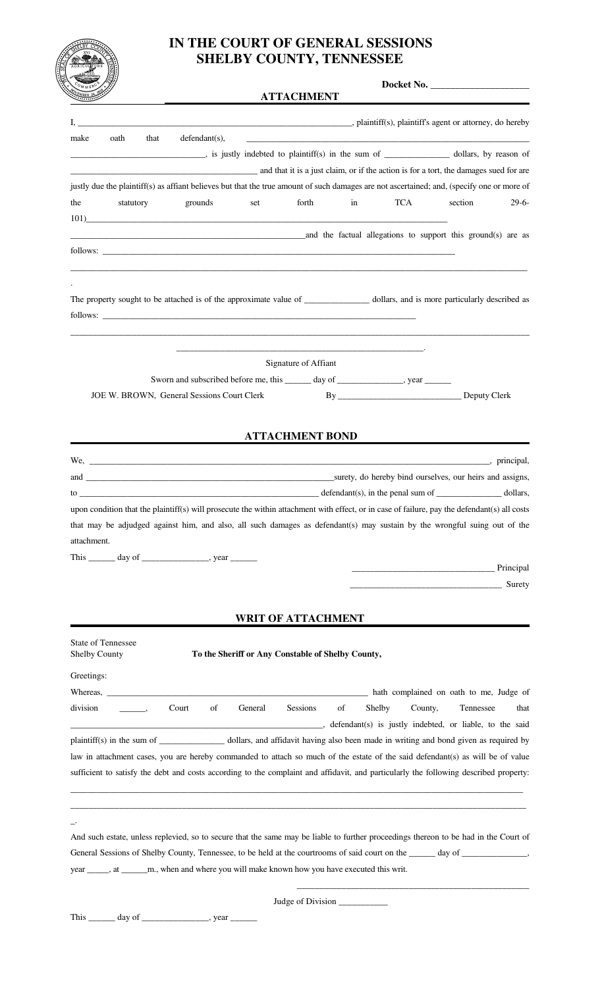

## **IN THE COURT OF GENERAL SESSIONS SHELBY COUNTY, TENNESSEE**

## **ATTACHMENT**

**Docket No.** \_\_\_\_\_\_\_\_\_\_\_\_\_\_\_\_\_\_\_\_

| ستستعيث              |                                                                                                                                                                                                                                |       |                                                                          |                                                   | <b>ALIAULIMENI</b>        |    |                                                                                                                                                                                                                                |                                                      |         |
|----------------------|--------------------------------------------------------------------------------------------------------------------------------------------------------------------------------------------------------------------------------|-------|--------------------------------------------------------------------------|---------------------------------------------------|---------------------------|----|--------------------------------------------------------------------------------------------------------------------------------------------------------------------------------------------------------------------------------|------------------------------------------------------|---------|
| I,                   |                                                                                                                                                                                                                                |       |                                                                          |                                                   |                           |    | plaintiff(s), plaintiff(s), plaintiff agent or attorney, do hereby                                                                                                                                                             |                                                      |         |
| make                 | oath                                                                                                                                                                                                                           | that  | $defendant(s)$ ,                                                         |                                                   |                           |    |                                                                                                                                                                                                                                |                                                      |         |
|                      |                                                                                                                                                                                                                                |       |                                                                          |                                                   |                           |    |                                                                                                                                                                                                                                |                                                      |         |
|                      |                                                                                                                                                                                                                                |       |                                                                          |                                                   |                           |    | and that it is a just claim, or if the action is for a tort, the damages sued for are                                                                                                                                          |                                                      |         |
|                      |                                                                                                                                                                                                                                |       |                                                                          |                                                   |                           |    | justly due the plaintiff(s) as affiant believes but that the true amount of such damages are not ascertained; and, (specify one or more of                                                                                     |                                                      |         |
| the                  | statutory                                                                                                                                                                                                                      |       | grounds                                                                  | set                                               | forth                     | in | <b>TCA</b>                                                                                                                                                                                                                     | section                                              | $29-6-$ |
|                      | 101)                                                                                                                                                                                                                           |       |                                                                          |                                                   |                           |    |                                                                                                                                                                                                                                |                                                      |         |
|                      |                                                                                                                                                                                                                                |       |                                                                          |                                                   |                           |    | and the factual allegations to support this ground(s) are as                                                                                                                                                                   |                                                      |         |
|                      | follows:                                                                                                                                                                                                                       |       |                                                                          |                                                   |                           |    |                                                                                                                                                                                                                                |                                                      |         |
|                      |                                                                                                                                                                                                                                |       |                                                                          |                                                   |                           |    |                                                                                                                                                                                                                                |                                                      |         |
|                      |                                                                                                                                                                                                                                |       |                                                                          |                                                   |                           |    |                                                                                                                                                                                                                                |                                                      |         |
|                      |                                                                                                                                                                                                                                |       |                                                                          |                                                   |                           |    | The property sought to be attached is of the approximate value of ________________ dollars, and is more particularly described as                                                                                              |                                                      |         |
|                      | follows: contract to the contract of the contract of the contract of the contract of the contract of the contract of the contract of the contract of the contract of the contract of the contract of the contract of the contr |       |                                                                          |                                                   |                           |    |                                                                                                                                                                                                                                |                                                      |         |
|                      |                                                                                                                                                                                                                                |       |                                                                          |                                                   |                           |    |                                                                                                                                                                                                                                |                                                      |         |
|                      |                                                                                                                                                                                                                                |       |                                                                          |                                                   |                           |    |                                                                                                                                                                                                                                |                                                      |         |
|                      |                                                                                                                                                                                                                                |       |                                                                          |                                                   | Signature of Affiant      |    | Sworn and subscribed before me, this ______ day of _______________, year _______                                                                                                                                               |                                                      |         |
|                      | JOE W. BROWN, General Sessions Court Clerk                                                                                                                                                                                     |       |                                                                          |                                                   |                           |    |                                                                                                                                                                                                                                |                                                      |         |
|                      |                                                                                                                                                                                                                                |       |                                                                          |                                                   |                           |    |                                                                                                                                                                                                                                |                                                      |         |
|                      |                                                                                                                                                                                                                                |       |                                                                          |                                                   |                           |    |                                                                                                                                                                                                                                |                                                      |         |
|                      |                                                                                                                                                                                                                                |       |                                                                          |                                                   | <b>ATTACHMENT BOND</b>    |    |                                                                                                                                                                                                                                |                                                      |         |
|                      |                                                                                                                                                                                                                                |       |                                                                          |                                                   |                           |    |                                                                                                                                                                                                                                |                                                      |         |
|                      |                                                                                                                                                                                                                                |       |                                                                          |                                                   |                           |    |                                                                                                                                                                                                                                |                                                      |         |
|                      |                                                                                                                                                                                                                                |       |                                                                          |                                                   |                           |    | $\text{to}$ defendant(s), in the penal sum of $\text{collars}$ ,                                                                                                                                                               |                                                      |         |
|                      |                                                                                                                                                                                                                                |       |                                                                          |                                                   |                           |    | upon condition that the plaintiff(s) will prosecute the within attachment with effect, or in case of failure, pay the defendant(s) all costs                                                                                   |                                                      |         |
|                      |                                                                                                                                                                                                                                |       |                                                                          |                                                   |                           |    | that may be adjudged against him, and also, all such damages as defendant(s) may sustain by the wrongful suing out of the                                                                                                      |                                                      |         |
| attachment.          |                                                                                                                                                                                                                                |       |                                                                          |                                                   |                           |    |                                                                                                                                                                                                                                |                                                      |         |
|                      | This $\_\_\_\_$ day of $\_\_\_\_\_\_\_\_$ , year $\_\_\_\_\_\_\_$                                                                                                                                                              |       |                                                                          |                                                   |                           |    |                                                                                                                                                                                                                                |                                                      |         |
|                      |                                                                                                                                                                                                                                |       |                                                                          |                                                   |                           |    |                                                                                                                                                                                                                                | <u> Principal</u> (1993)                             |         |
|                      |                                                                                                                                                                                                                                |       |                                                                          |                                                   |                           |    |                                                                                                                                                                                                                                | <u> 1990 - Johann John Stone, markin amerikan ba</u> | Surety  |
|                      |                                                                                                                                                                                                                                |       |                                                                          |                                                   |                           |    |                                                                                                                                                                                                                                |                                                      |         |
|                      |                                                                                                                                                                                                                                |       |                                                                          |                                                   | <b>WRIT OF ATTACHMENT</b> |    |                                                                                                                                                                                                                                |                                                      |         |
|                      | State of Tennessee                                                                                                                                                                                                             |       |                                                                          |                                                   |                           |    |                                                                                                                                                                                                                                |                                                      |         |
| <b>Shelby County</b> |                                                                                                                                                                                                                                |       |                                                                          | To the Sheriff or Any Constable of Shelby County, |                           |    |                                                                                                                                                                                                                                |                                                      |         |
| Greetings:           |                                                                                                                                                                                                                                |       |                                                                          |                                                   |                           |    |                                                                                                                                                                                                                                |                                                      |         |
|                      |                                                                                                                                                                                                                                |       |                                                                          |                                                   |                           |    |                                                                                                                                                                                                                                |                                                      |         |
| division             | $\sim$ $\sim$ $\sim$ $\sim$                                                                                                                                                                                                    | Court | of                                                                       | General                                           | <b>Sessions</b>           | of | Shelby                                                                                                                                                                                                                         | County,<br>Tennessee                                 | that    |
|                      |                                                                                                                                                                                                                                |       |                                                                          |                                                   |                           |    | defendant(s) is justly indebted, or liable, to the said                                                                                                                                                                        |                                                      |         |
|                      |                                                                                                                                                                                                                                |       |                                                                          |                                                   |                           |    | plaintiff(s) in the sum of _________________ dollars, and affidavit having also been made in writing and bond given as required by                                                                                             |                                                      |         |
|                      |                                                                                                                                                                                                                                |       |                                                                          |                                                   |                           |    | law in attachment cases, you are hereby commanded to attach so much of the estate of the said defendant(s) as will be of value                                                                                                 |                                                      |         |
|                      |                                                                                                                                                                                                                                |       |                                                                          |                                                   |                           |    | sufficient to satisfy the debt and costs according to the complaint and affidavit, and particularly the following described property:                                                                                          |                                                      |         |
|                      |                                                                                                                                                                                                                                |       |                                                                          |                                                   |                           |    |                                                                                                                                                                                                                                |                                                      |         |
|                      |                                                                                                                                                                                                                                |       |                                                                          |                                                   |                           |    |                                                                                                                                                                                                                                |                                                      |         |
|                      |                                                                                                                                                                                                                                |       |                                                                          |                                                   |                           |    |                                                                                                                                                                                                                                |                                                      |         |
|                      |                                                                                                                                                                                                                                |       |                                                                          |                                                   |                           |    | And such estate, unless replevied, so to secure that the same may be liable to further proceedings thereon to be had in the Court of                                                                                           |                                                      |         |
|                      |                                                                                                                                                                                                                                |       |                                                                          |                                                   |                           |    | General Sessions of Shelby County, Tennessee, to be held at the courtrooms of said court on the same day of subsequently day of same state of the state of the state of the state of the state of the state of the state of th |                                                      |         |
|                      |                                                                                                                                                                                                                                |       | _m., when and where you will make known how you have executed this writ. |                                                   |                           |    |                                                                                                                                                                                                                                |                                                      |         |

Judge of Division \_\_\_\_\_\_\_\_\_\_\_

\_\_\_\_\_\_\_\_\_\_\_\_\_\_\_\_\_\_\_\_\_\_\_\_\_\_\_\_\_\_\_\_\_\_\_\_\_\_\_\_\_\_\_\_\_\_\_\_\_\_\_\_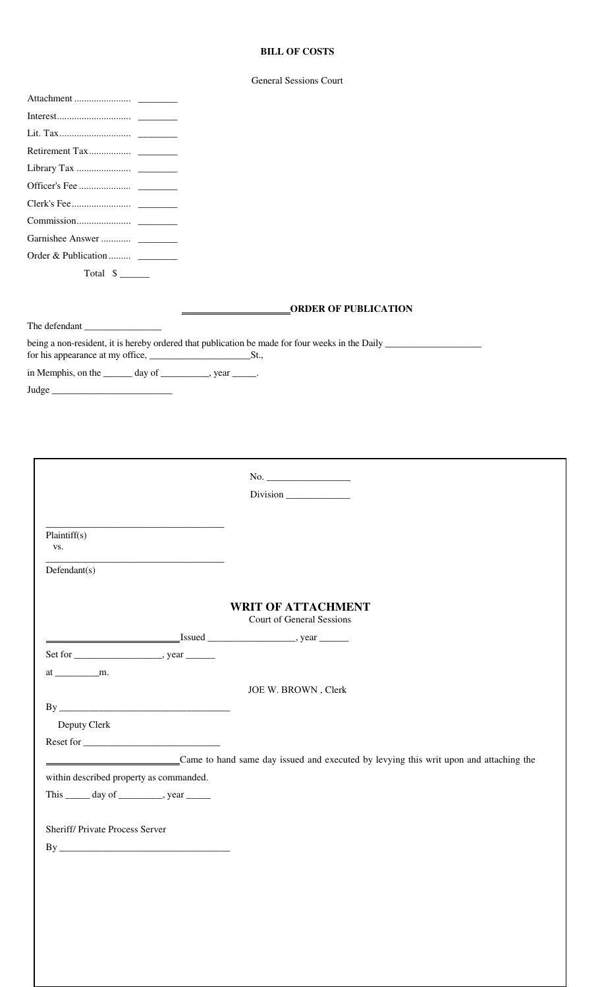## **BILL OF COSTS**

| <b>General Sessions Court</b> |  |
|-------------------------------|--|
|                               |  |

| $\begin{tabular}{lllllll} Interest. & & & \multicolumn{3}{l}{{\small\textrm{Interest}}}\xspace & & \multicolumn{3}{l}{\textbf{Interest}}\xspace & \multicolumn{3}{l}{\textbf{Interest}}\xspace & \multicolumn{3}{l}{\textbf{Interest}}\xspace & \multicolumn{3}{l}{\textbf{Interest}}\xspace & \multicolumn{3}{l}{\textbf{Interest}}\xspace & \multicolumn{3}{l}{\textbf{Interest}}\xspace & \multicolumn{3}{l}{\textbf{Interest}}\xspace & \multicolumn{3}{l}{\textbf{Interest}}\xspace & \multicolumn{3}{l}{\textbf{Interest}}\xspace$ |                                                                                                 |
|------------------------------------------------------------------------------------------------------------------------------------------------------------------------------------------------------------------------------------------------------------------------------------------------------------------------------------------------------------------------------------------------------------------------------------------------------------------------------------------------------------------------------------------|-------------------------------------------------------------------------------------------------|
|                                                                                                                                                                                                                                                                                                                                                                                                                                                                                                                                          |                                                                                                 |
|                                                                                                                                                                                                                                                                                                                                                                                                                                                                                                                                          |                                                                                                 |
|                                                                                                                                                                                                                                                                                                                                                                                                                                                                                                                                          |                                                                                                 |
|                                                                                                                                                                                                                                                                                                                                                                                                                                                                                                                                          |                                                                                                 |
|                                                                                                                                                                                                                                                                                                                                                                                                                                                                                                                                          |                                                                                                 |
|                                                                                                                                                                                                                                                                                                                                                                                                                                                                                                                                          |                                                                                                 |
|                                                                                                                                                                                                                                                                                                                                                                                                                                                                                                                                          |                                                                                                 |
| Order & Publication                                                                                                                                                                                                                                                                                                                                                                                                                                                                                                                      |                                                                                                 |
| Total $\frac{1}{2}$                                                                                                                                                                                                                                                                                                                                                                                                                                                                                                                      |                                                                                                 |
|                                                                                                                                                                                                                                                                                                                                                                                                                                                                                                                                          |                                                                                                 |
|                                                                                                                                                                                                                                                                                                                                                                                                                                                                                                                                          | <b>ORDER OF PUBLICATION</b>                                                                     |
| The defendant                                                                                                                                                                                                                                                                                                                                                                                                                                                                                                                            |                                                                                                 |
|                                                                                                                                                                                                                                                                                                                                                                                                                                                                                                                                          | being a non-resident, it is hereby ordered that publication be made for four weeks in the Daily |
|                                                                                                                                                                                                                                                                                                                                                                                                                                                                                                                                          |                                                                                                 |
| in Memphis, on the _______ day of __________, year _____.                                                                                                                                                                                                                                                                                                                                                                                                                                                                                |                                                                                                 |
| Judge                                                                                                                                                                                                                                                                                                                                                                                                                                                                                                                                    |                                                                                                 |
|                                                                                                                                                                                                                                                                                                                                                                                                                                                                                                                                          |                                                                                                 |
|                                                                                                                                                                                                                                                                                                                                                                                                                                                                                                                                          |                                                                                                 |
|                                                                                                                                                                                                                                                                                                                                                                                                                                                                                                                                          |                                                                                                 |
|                                                                                                                                                                                                                                                                                                                                                                                                                                                                                                                                          |                                                                                                 |
|                                                                                                                                                                                                                                                                                                                                                                                                                                                                                                                                          |                                                                                                 |
|                                                                                                                                                                                                                                                                                                                                                                                                                                                                                                                                          |                                                                                                 |
|                                                                                                                                                                                                                                                                                                                                                                                                                                                                                                                                          |                                                                                                 |
|                                                                                                                                                                                                                                                                                                                                                                                                                                                                                                                                          |                                                                                                 |
|                                                                                                                                                                                                                                                                                                                                                                                                                                                                                                                                          |                                                                                                 |
| Plaintiff(s)                                                                                                                                                                                                                                                                                                                                                                                                                                                                                                                             |                                                                                                 |
| VS.                                                                                                                                                                                                                                                                                                                                                                                                                                                                                                                                      |                                                                                                 |
| Defendant(s)                                                                                                                                                                                                                                                                                                                                                                                                                                                                                                                             |                                                                                                 |
|                                                                                                                                                                                                                                                                                                                                                                                                                                                                                                                                          |                                                                                                 |
|                                                                                                                                                                                                                                                                                                                                                                                                                                                                                                                                          | <b>WRIT OF ATTACHMENT</b>                                                                       |
|                                                                                                                                                                                                                                                                                                                                                                                                                                                                                                                                          | Court of General Sessions                                                                       |
|                                                                                                                                                                                                                                                                                                                                                                                                                                                                                                                                          |                                                                                                 |
|                                                                                                                                                                                                                                                                                                                                                                                                                                                                                                                                          |                                                                                                 |
|                                                                                                                                                                                                                                                                                                                                                                                                                                                                                                                                          |                                                                                                 |
|                                                                                                                                                                                                                                                                                                                                                                                                                                                                                                                                          | JOE W. BROWN, Clerk                                                                             |
|                                                                                                                                                                                                                                                                                                                                                                                                                                                                                                                                          |                                                                                                 |
| Deputy Clerk                                                                                                                                                                                                                                                                                                                                                                                                                                                                                                                             |                                                                                                 |
|                                                                                                                                                                                                                                                                                                                                                                                                                                                                                                                                          |                                                                                                 |
|                                                                                                                                                                                                                                                                                                                                                                                                                                                                                                                                          |                                                                                                 |
|                                                                                                                                                                                                                                                                                                                                                                                                                                                                                                                                          | Came to hand same day issued and executed by levying this writ upon and attaching the           |
| within described property as commanded.                                                                                                                                                                                                                                                                                                                                                                                                                                                                                                  |                                                                                                 |
| This _______ day of ____________, year ________                                                                                                                                                                                                                                                                                                                                                                                                                                                                                          |                                                                                                 |
|                                                                                                                                                                                                                                                                                                                                                                                                                                                                                                                                          |                                                                                                 |
| Sheriff/ Private Process Server                                                                                                                                                                                                                                                                                                                                                                                                                                                                                                          |                                                                                                 |
|                                                                                                                                                                                                                                                                                                                                                                                                                                                                                                                                          |                                                                                                 |
|                                                                                                                                                                                                                                                                                                                                                                                                                                                                                                                                          |                                                                                                 |
|                                                                                                                                                                                                                                                                                                                                                                                                                                                                                                                                          |                                                                                                 |
|                                                                                                                                                                                                                                                                                                                                                                                                                                                                                                                                          |                                                                                                 |
|                                                                                                                                                                                                                                                                                                                                                                                                                                                                                                                                          |                                                                                                 |
|                                                                                                                                                                                                                                                                                                                                                                                                                                                                                                                                          |                                                                                                 |
|                                                                                                                                                                                                                                                                                                                                                                                                                                                                                                                                          |                                                                                                 |